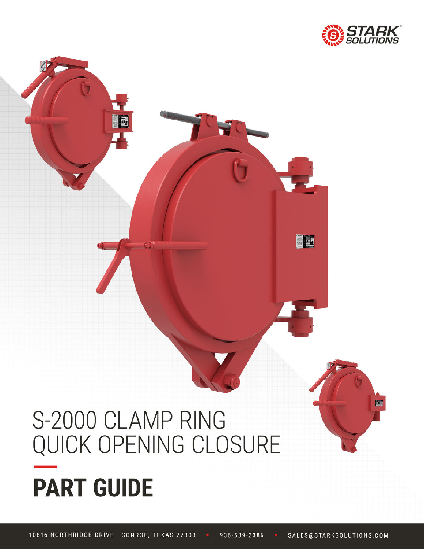

EE

# S-2000 CLAMP RING QUICK OPENING CLOSURE **PART GUIDE**

E

936-539-2386 10816 NORTHRIDGE DRIVE CONROE, TEXAS 77303 SALES@STARKSOLUTIONS.COM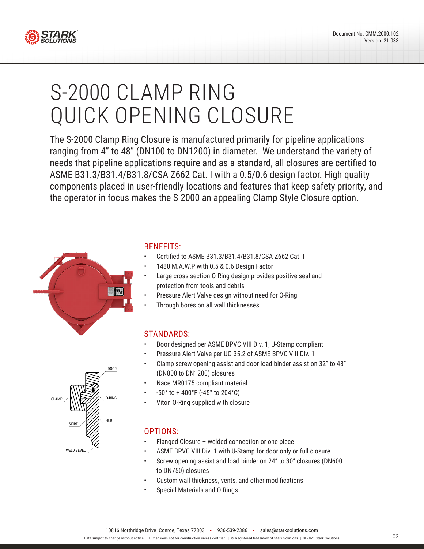

# S-2000 CLAMP RING QUICK OPENING CLOSURE

The S-2000 Clamp Ring Closure is manufactured primarily for pipeline applications ranging from 4" to 48" (DN100 to DN1200) in diameter. We understand the variety of needs that pipeline applications require and as a standard, all closures are certified to ASME B31.3/B31.4/B31.8/CSA Z662 Cat. I with a 0.5/0.6 design factor. High quality components placed in user-friendly locations and features that keep safety priority, and the operator in focus makes the S-2000 an appealing Clamp Style Closure option.



#### BENEFITS:

- Certified to ASME B31.3/B31.4/B31.8/CSA Z662 Cat. I
- 1480 M.A.W.P with 0.5 & 0.6 Design Factor
- Large cross section O-Ring design provides positive seal and protection from tools and debris
- Pressure Alert Valve design without need for O-Ring
- Through bores on all wall thicknesses

#### STANDARDS:

- Door designed per ASME BPVC VIII Div. 1, U-Stamp compliant
- Pressure Alert Valve per UG-35.2 of ASME BPVC VIII Div. 1
- Clamp screw opening assist and door load binder assist on 32" to 48" (DN800 to DN1200) closures
- Nace MR0175 compliant material
- -50° to + 400°F (-45° to 204°C)
- Viton O-Ring supplied with closure

#### OPTIONS:

- Flanged Closure welded connection or one piece
- ASME BPVC VIII Div. 1 with U-Stamp for door only or full closure
- Screw opening assist and load binder on 24" to 30" closures (DN600 to DN750) closures
- Custom wall thickness, vents, and other modifications
- Special Materials and O-Rings

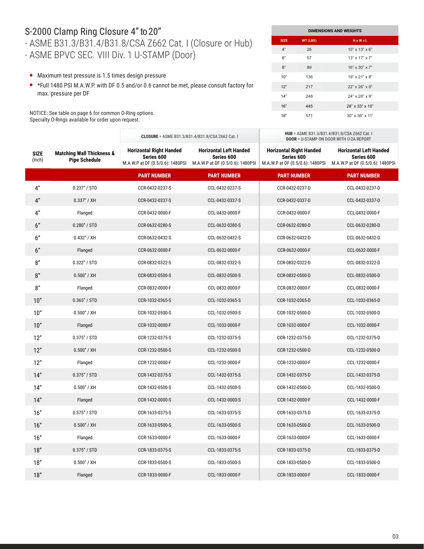### S-2000 Clamp Ring Closure 4" to 20"

#### - ASME B31.3/B31.4/B31.8/CSA Z662 Cat. I (Closure or Hub) - ASME BPVC SEC. VIII Div. 1 U-STAMP (Door)

**DIMENSIONS AND WEIGHTS SIZE WT (LBS) H x W x L** 4" 26 10" x 13" x 6" 6" 57 13" x 17" x 7" 8" 89 16" x 30" x 7" 10" 136 19" x 21" x 8" 12" 217 22" x 26" x 9" 14" 248 24" x 28" x 9" 16" 445 28" x 33" x 10" 18" 571 30" x 36" x 11"

**HUB** = ASME B31.3/B31.4/B31.8/CSA Z662 Cat. I

- Maximum test pressure is 1.5 times design pressure
- \*Full 1480 PSI M.A.W.P. with DF 0.5 and/or 0.6 cannot be met, please consult factory for max. pressure per DF

NOTICE: See table on page 6 for common O-Ring options. Specialty O-Rings available for order upon request.

|                       |                                                              |                                                                                  |                                                                                 | <b>DOOR</b> = U-STAMP ON DOOR WITH U-2A REPORT                                   |                                                                                 |
|-----------------------|--------------------------------------------------------------|----------------------------------------------------------------------------------|---------------------------------------------------------------------------------|----------------------------------------------------------------------------------|---------------------------------------------------------------------------------|
| <b>SIZE</b><br>(Inch) | <b>Matching Wall Thickness &amp;</b><br><b>Pipe Schedule</b> | <b>Horizontal Right Handed</b><br>Series 600<br>M.A.W.P at DF (0.5/0.6): 1480PSI | <b>Horizontal Left Handed</b><br>Series 600<br>M.A.W.P at DF (0.5/0.6): 1480PSI | <b>Horizontal Right Handed</b><br>Series 600<br>M.A.W.P at DF (0.5/0.6): 1480PSI | <b>Horizontal Left Handed</b><br>Series 600<br>M.A.W.P at DF (0.5/0.6): 1480PSI |
|                       |                                                              | <b>PART NUMBER</b>                                                               | <b>PART NUMBER</b>                                                              | <b>PART NUMBER</b>                                                               | <b>PART NUMBER</b>                                                              |
| 4"                    | 0.237''/STD                                                  | CCR-0432-0237-S                                                                  | CCL-0432-0237-S                                                                 | CCR-0432-0237-D                                                                  | CCL-0432-0237-D                                                                 |
| 4"                    | $0.337''$ / XH                                               | CCR-0432-0337-S                                                                  | CCL-0432-0337-S                                                                 | CCR-0432-0337-D                                                                  | CCL-0432-0337-D                                                                 |
| 4"                    | Flanged                                                      | CCR-0432-0000-F                                                                  | CCL-0432-0000-F                                                                 | CCR-0432-0000-F                                                                  | CCL-0432-0000-F                                                                 |
| 6"                    | 0.280''/STD                                                  | CCR-0632-0280-S                                                                  | CCL-0632-0280-S                                                                 | CCR-0632-0280-D                                                                  | CCL-0632-0280-D                                                                 |
| 6''                   | $0.432''$ / XH                                               | CCR-0632-0432-S                                                                  | CCL-0632-0432-S                                                                 | CCR-0632-0432-D                                                                  | CCL-0632-0432-D                                                                 |
| 6"                    | Flanged                                                      | CCR-0632-0000-F                                                                  | CCL-0632-0000-F                                                                 | CCR-0632-0000-F                                                                  | CCL-0632-0000-F                                                                 |
| 8''                   | 0.322" / STD                                                 | CCR-0832-0322-S                                                                  | CCL-0832-0322-S                                                                 | CCR-0832-0322-D                                                                  | CCL-0832-0322-D                                                                 |
| 8''                   | $0.500''$ / XH                                               | CCR-0832-0500-S                                                                  | CCL-0832-0500-S                                                                 | CCR-0832-0500-D                                                                  | CCL-0832-0500-D                                                                 |
| 8''                   | Flanged                                                      | CCR-0832-0000-F                                                                  | CCL-0832-0000-F                                                                 | CCR-0832-0000-F                                                                  | CCL-0832-0000-F                                                                 |
| 10"                   | 0.365''/STD                                                  | CCR-1032-0365-S                                                                  | CCL-1032-0365-S                                                                 | CCR-1032-0365-D                                                                  | CCL-1032-0365-D                                                                 |
| 10"                   | $0.500''$ / XH                                               | CCR-1032-0500-S                                                                  | CCL-1032-0500-S                                                                 | CCR-1032-0500-D                                                                  | CCL-1032-0500-D                                                                 |
| 10"                   | Flanged                                                      | CCR-1032-0000-F                                                                  | CCL-1032-0000-F                                                                 | CCR-1032-0000-F                                                                  | CCL-1032-0000-F                                                                 |
| 12"                   | 0.375''/STD                                                  | CCR-1232-0375-S                                                                  | CCL-1232-0375-S                                                                 | CCR-1232-0375-D                                                                  | CCL-1232-0375-D                                                                 |
| 12"                   | $0.500''$ / XH                                               | CCR-1232-0500-S                                                                  | CCL-1232-0500-S                                                                 | CCR-1232-0500-D                                                                  | CCL-1232-0500-D                                                                 |
| 12"                   | Flanged                                                      | CCR-1232-0000-F                                                                  | CCL-1232-0000-F                                                                 | CCR-1232-0000-F                                                                  | CCL-1232-0000-F                                                                 |
| 14"                   | $0.375''$ / STD                                              | CCR-1432-0375-S                                                                  | CCL-1432-0375-S                                                                 | CCR-1432-0375-D                                                                  | CCL-1432-0375-D                                                                 |
| 14"                   | 0.500" / XH                                                  | CCR-1432-0500-S                                                                  | CCL-1432-0500-S                                                                 | CCR-1432-0500-D                                                                  | CCL-1432-0500-D                                                                 |
| 14"                   | Flanged                                                      | CCR-1432-0000-S                                                                  | CCL-1432-0000-S                                                                 | CCR-1432-0000-F                                                                  | CCL-1432-0000-F                                                                 |
| 16"                   | 0.375''/STD                                                  | CCR-1633-0375-S                                                                  | CCL-1633-0375-S                                                                 | CCR-1633-0375-D                                                                  | CCL-1633-0375-D                                                                 |
| 16"                   | $0.500''$ / XH                                               | CCR-1633-0500-S                                                                  | CCL-1633-0500-S                                                                 | CCR-1633-0500-D                                                                  | CCL-1633-0500-D                                                                 |
| 16"                   | Flanged                                                      | CCR-1633-0000-F                                                                  | CCL-1633-0000-F                                                                 | CCR-1633-0000-F                                                                  | CCL-1633-0000-F                                                                 |
| 18"                   | 0.375''/STD                                                  | CCR-1833-0375-S                                                                  | CCL-1833-0375-S                                                                 | CCR-1833-0375-D                                                                  | CCL-1833-0375-D                                                                 |
| 18"                   | $0.500''$ / XH                                               | CCR-1833-0500-S                                                                  | CCL-1833-0500-S                                                                 | CCR-1833-0500-D                                                                  | CCL-1833-0500-D                                                                 |
| 18"                   | Flanged                                                      | CCR-1833-0000-F                                                                  | CCL-1833-0000-F                                                                 | CCR-1833-0000-F                                                                  | CCL-1833-0000-F                                                                 |

**CLOSURE** = ASME B31.3/B31.4/B31.8/CSA Z662 Cat. I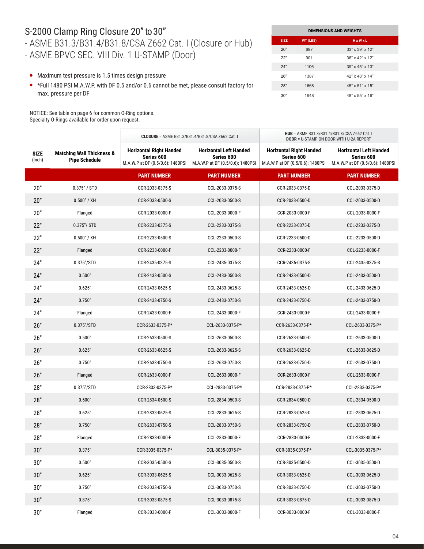#### S-2000 Clamp Ring Closure 20" to 30"

# - ASME B31.3/B31.4/B31.8/CSA Z662 Cat. I (Closure or Hub)

- ASME BPVC SEC. VIII Div. 1 U-STAMP (Door)

- Maximum test pressure is 1.5 times design pressure
- \*Full 1480 PSI M.A.W.P. with DF 0.5 and/or 0.6 cannot be met, please consult factory for max. pressure per DF

NOTICE: See table on page 6 for common O-Ring options. Specialty O-Rings available for order upon request.

| <b>DIMENSIONS AND WEIGHTS</b> |          |                             |  |  |  |
|-------------------------------|----------|-----------------------------|--|--|--|
| <b>SIZE</b>                   | WT (LBS) | $H \times W \times L$       |  |  |  |
| 20"                           | 697      | $33" \times 39" \times 12"$ |  |  |  |
| 22"                           | 901      | 36" x 42" x 12"             |  |  |  |
| 24"                           | 1106     | 39" x 45" x 13"             |  |  |  |
| 26"                           | 1387     | 42" x 48" x 14"             |  |  |  |
| 28"                           | 1668     | 45" x 51" x 15"             |  |  |  |
| 30"                           | 1948     | 48" x 55" x 16"             |  |  |  |

|                       |                                                              | CLOSURE = ASME B31.3/B31.4/B31.8/CSA Z662 Cat. I                                 |                                                                                 | HUB = ASME B31.3/B31.4/B31.8/CSA Z662 Cat. I<br><b>DOOR = U-STAMP ON DOOR WITH U-2A REPORT</b> |                                                                                 |  |
|-----------------------|--------------------------------------------------------------|----------------------------------------------------------------------------------|---------------------------------------------------------------------------------|------------------------------------------------------------------------------------------------|---------------------------------------------------------------------------------|--|
| <b>SIZE</b><br>(Inch) | <b>Matching Wall Thickness &amp;</b><br><b>Pipe Schedule</b> | <b>Horizontal Right Handed</b><br>Series 600<br>M.A.W.P at DF (0.5/0.6): 1480PSI | <b>Horizontal Left Handed</b><br>Series 600<br>M.A.W.P at DF (0.5/0.6): 1480PSI | <b>Horizontal Right Handed</b><br>Series 600<br>M.A.W.P at DF (0.5/0.6): 1480PSI               | <b>Horizontal Left Handed</b><br>Series 600<br>M.A.W.P at DF (0.5/0.6): 1480PSI |  |
|                       |                                                              | <b>PART NUMBER</b>                                                               | <b>PART NUMBER</b>                                                              | <b>PART NUMBER</b>                                                                             | <b>PART NUMBER</b>                                                              |  |
| 20"                   | 0.375" / STD                                                 | CCR-2033-0375-S                                                                  | CCL-2033-0375-S                                                                 | CCR-2033-0375-D                                                                                | CCL-2033-0375-D                                                                 |  |
| 20"                   | 0.500" / XH                                                  | CCR-2033-0500-S                                                                  | CCL-2033-0500-S                                                                 | CCR-2033-0500-D                                                                                | CCL-2033-0500-D                                                                 |  |
| 20"                   | Flanged                                                      | CCR-2033-0000-F                                                                  | CCL-2033-0000-F                                                                 | CCR-2033-0000-F                                                                                | CCL-2033-0000-F                                                                 |  |
| 22"                   | $0.375''/$ STD                                               | CCR-2233-0375-S                                                                  | CCL-2233-0375-S                                                                 | CCR-2233-0375-D                                                                                | CCL-2233-0375-D                                                                 |  |
| 22"                   | 0.500" / XH                                                  | CCR-2233-0500-S                                                                  | CCL-2233-0500-S                                                                 | CCR-2233-0500-D                                                                                | CCL-2233-0500-D                                                                 |  |
| 22"                   | Flanged                                                      | CCR-2233-0000-F                                                                  | CCL-2233-0000-F                                                                 | CCR-2233-0000-F                                                                                | CCL-2233-0000-F                                                                 |  |
| 24"                   | 0.375"/STD                                                   | CCR-2435-0375-S                                                                  | CCL-2435-0375-S                                                                 | CCR-2435-0375-S                                                                                | CCL-2435-0375-S                                                                 |  |
| 24"                   | 0.500"                                                       | CCR-2433-0500-S                                                                  | CCL-2433-0500-S                                                                 | CCR-2433-0500-D                                                                                | CCL-2433-0500-D                                                                 |  |
| 24"                   | 0.625"                                                       | CCR-2433-0625-S                                                                  | CCL-2433-0625-S                                                                 | CCR-2433-0625-D                                                                                | CCL-2433-0625-D                                                                 |  |
| 24"                   | 0.750"                                                       | CCR-2433-0750-S                                                                  | CCL-2433-0750-S                                                                 | CCR-2433-0750-D                                                                                | CCL-2433-0750-D                                                                 |  |
| 24"                   | Flanged                                                      | CCR-2433-0000-F                                                                  | CCL-2433-0000-F                                                                 | CCR-2433-0000-F                                                                                | CCL-2433-0000-F                                                                 |  |
| 26"                   | $0.375$ "/STD                                                | CCR-2633-0375-P*                                                                 | CCL-2633-0375-P*                                                                | CCR-2633-0375-P*                                                                               | CCL-2633-0375-P*                                                                |  |
| 26"                   | 0.500"                                                       | CCR-2633-0500-S                                                                  | CCL-2633-0500-S                                                                 | CCR-2633-0500-D                                                                                | CCL-2633-0500-D                                                                 |  |
| 26"                   | 0.625"                                                       | CCR-2633-0625-S                                                                  | CCL-2633-0625-S                                                                 | CCR-2633-0625-D                                                                                | CCL-2633-0625-D                                                                 |  |
| 26"                   | 0.750"                                                       | CCR-2633-0750-S                                                                  | CCL-2633-0750-S                                                                 | CCR-2633-0750-D                                                                                | CCL-2633-0750-D                                                                 |  |
| 26"                   | Flanged                                                      | CCR-2633-0000-F                                                                  | CCL-2633-0000-F                                                                 | CCR-2633-0000-F                                                                                | CCL-2633-0000-F                                                                 |  |
| 28"                   | 0.375"/STD                                                   | CCR-2833-0375-P*                                                                 | CCL-2833-0375-P*                                                                | CCR-2833-0375-P*                                                                               | CCL-2833-0375-P*                                                                |  |
| 28"                   | 0.500"                                                       | CCR-2834-0500-S                                                                  | CCL-2834-0500-S                                                                 | CCR-2834-0500-D                                                                                | CCL-2834-0500-D                                                                 |  |
| 28"                   | 0.625"                                                       | CCR-2833-0625-S                                                                  | CCL-2833-0625-S                                                                 | CCR-2833-0625-D                                                                                | CCL-2833-0625-D                                                                 |  |
| 28"                   | 0.750"                                                       | CCR-2833-0750-S                                                                  | CCL-2833-0750-S                                                                 | CCR-2833-0750-D                                                                                | CCL-2833-0750-D                                                                 |  |
| 28"                   | Flanged                                                      | CCR-2833-0000-F                                                                  | CCL-2833-0000-F                                                                 | CCR-2833-0000-F                                                                                | CCL-2833-0000-F                                                                 |  |
| 30"                   | 0.375"                                                       | CCR-3035-0375-P*                                                                 | CCL-3035-0375-P*                                                                | CCR-3035-0375-P*                                                                               | CCL-3035-0375-P*                                                                |  |
| 30"                   | 0.500"                                                       | CCR-3035-0500-S                                                                  | CCL-3035-0500-S                                                                 | CCR-3035-0500-D                                                                                | CCL-3035-0500-D                                                                 |  |
| 30"                   | 0.625"                                                       | CCR-3033-0625-S                                                                  | CCL-3033-0625-S                                                                 | CCR-3033-0625-D                                                                                | CCL-3033-0625-D                                                                 |  |
| 30"                   | 0.750"                                                       | CCR-3033-0750-S                                                                  | CCL-3033-0750-S                                                                 | CCR-3033-0750-D                                                                                | CCL-3033-0750-D                                                                 |  |
| 30"                   | 0.875"                                                       | CCR-3033-0875-S                                                                  | CCL-3033-0875-S                                                                 | CCR-3033-0875-D                                                                                | CCL-3033-0875-D                                                                 |  |
| $30"$                 | Flanged                                                      | CCR-3033-0000-F                                                                  | CCL-3033-0000-F                                                                 | CCR-3033-0000-F                                                                                | CCL-3033-0000-F                                                                 |  |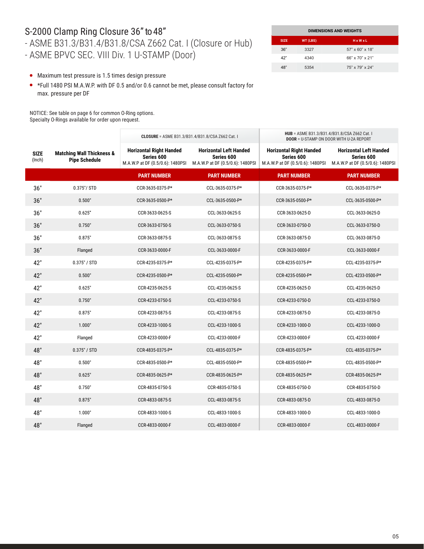#### S-2000 Clamp Ring Closure 36" to 48"

## - ASME B31.3/B31.4/B31.8/CSA Z662 Cat. I (Closure or Hub)

- ASME BPVC SEC. VIII Div. 1 U-STAMP (Door)

| <b>DIMENSIONS AND WEIGHTS</b> |          |                             |  |  |  |
|-------------------------------|----------|-----------------------------|--|--|--|
| <b>SIZE</b>                   | WT (LBS) | $H \times W \times L$       |  |  |  |
| 36"                           | 3327     | $57" \times 60" \times 18"$ |  |  |  |
| 42"                           | 4340     | 66" x 70" x 21"             |  |  |  |
| 48"                           | 5354     | 75" x 79" x 24"             |  |  |  |

- Maximum test pressure is 1.5 times design pressure
- \*Full 1480 PSI M.A.W.P. with DF 0.5 and/or 0.6 cannot be met, please consult factory for max. pressure per DF

NOTICE: See table on page 6 for common O-Ring options. Specialty O-Rings available for order upon request.

|                       |                                                              | <b>CLOSURE</b> = ASME B31.3/B31.4/B31.8/CSA Z662 Cat. I                          |                                                                                 | HUB = ASME B31.3/B31.4/B31.8/CSA Z662 Cat. I<br><b>DOOR = U-STAMP ON DOOR WITH U-2A REPORT</b> |                                                                                 |  |
|-----------------------|--------------------------------------------------------------|----------------------------------------------------------------------------------|---------------------------------------------------------------------------------|------------------------------------------------------------------------------------------------|---------------------------------------------------------------------------------|--|
| <b>SIZE</b><br>(Inch) | <b>Matching Wall Thickness &amp;</b><br><b>Pipe Schedule</b> | <b>Horizontal Right Handed</b><br>Series 600<br>M.A.W.P at DF (0.5/0.6): 1480PSI | <b>Horizontal Left Handed</b><br>Series 600<br>M.A.W.P at DF (0.5/0.6): 1480PSI | <b>Horizontal Right Handed</b><br>Series 600<br>M.A.W.P at DF (0.5/0.6): 1480PSI               | <b>Horizontal Left Handed</b><br>Series 600<br>M.A.W.P at DF (0.5/0.6): 1480PSI |  |
|                       |                                                              | <b>PART NUMBER</b>                                                               | <b>PART NUMBER</b>                                                              | <b>PART NUMBER</b>                                                                             | <b>PART NUMBER</b>                                                              |  |
| 36"                   | 0.375"/ STD                                                  | CCR-3635-0375-P*                                                                 | CCL-3635-0375-P*                                                                | CCR-3635-0375-P*                                                                               | CCL-3635-0375-P*                                                                |  |
| 36"                   | 0.500"                                                       | CCR-3635-0500-P*                                                                 | CCL-3635-0500-P*                                                                | CCR-3635-0500-P*                                                                               | CCL-3635-0500-P*                                                                |  |
| 36"                   | 0.625"                                                       | CCR-3633-0625-S                                                                  | CCL-3633-0625-S                                                                 | CCR-3633-0625-D                                                                                | CCL-3633-0625-D                                                                 |  |
| 36"                   | 0.750"                                                       | CCR-3633-0750-S                                                                  | CCL-3633-0750-S                                                                 | CCR-3633-0750-D                                                                                | CCL-3633-0750-D                                                                 |  |
| 36"                   | 0.875"                                                       | CCR-3633-0875-S                                                                  | CCL-3633-0875-S                                                                 | CCR-3633-0875-D                                                                                | CCL-3633-0875-D                                                                 |  |
| 36"                   | Flanged                                                      | CCR-3633-0000-F                                                                  | CCL-3633-0000-F                                                                 | CCR-3633-0000-F                                                                                | CCL-3633-0000-F                                                                 |  |
| 42"                   | 0.375" / STD                                                 | CCR-4235-0375-P*                                                                 | CCL-4235-0375-P*                                                                | CCR-4235-0375-P*                                                                               | CCL-4235-0375-P*                                                                |  |
| 42"                   | 0.500"                                                       | CCR-4235-0500-P*                                                                 | CCL-4235-0500-P*                                                                | CCR-4235-0500-P*                                                                               | CCL-4233-0500-P*                                                                |  |
| 42"                   | 0.625"                                                       | CCR-4235-0625-S                                                                  | CCL-4235-0625-S                                                                 | CCR-4235-0625-D                                                                                | CCL-4235-0625-D                                                                 |  |
| 42"                   | 0.750"                                                       | CCR-4233-0750-S                                                                  | CCL-4233-0750-S                                                                 | CCR-4233-0750-D                                                                                | CCL-4233-0750-D                                                                 |  |
| 42"                   | 0.875"                                                       | CCR-4233-0875-S                                                                  | CCL-4233-0875-S                                                                 | CCR-4233-0875-D                                                                                | CCL-4233-0875-D                                                                 |  |
| 42"                   | 1.000"                                                       | CCR-4233-1000-S                                                                  | CCL-4233-1000-S                                                                 | CCR-4233-1000-D                                                                                | CCL-4233-1000-D                                                                 |  |
| 42"                   | Flanged                                                      | CCR-4233-0000-F                                                                  | CCL-4233-0000-F                                                                 | CCR-4233-0000-F                                                                                | CCL-4233-0000-F                                                                 |  |
| 48"                   | 0.375" / STD                                                 | CCR-4835-0375-P*                                                                 | CCL-4835-0375-P*                                                                | CCR-4835-0375-P*                                                                               | CCL-4835-0375-P*                                                                |  |
| 48"                   | 0.500"                                                       | CCR-4835-0500-P*                                                                 | CCL-4835-0500-P*                                                                | CCR-4835-0500-P*                                                                               | CCL-4835-0500-P*                                                                |  |
| 48"                   | 0.625"                                                       | CCR-4835-0625-P*                                                                 | CCR-4835-0625-P*                                                                | CCR-4835-0625-P*                                                                               | CCR-4835-0625-P*                                                                |  |
| 48"                   | 0.750"                                                       | CCR-4835-0750-S                                                                  | CCR-4835-0750-S                                                                 | CCR-4835-0750-D                                                                                | CCR-4835-0750-D                                                                 |  |
| 48"                   | 0.875"                                                       | CCR-4833-0875-S                                                                  | CCL-4833-0875-S                                                                 | CCR-4833-0875-D                                                                                | CCL-4833-0875-D                                                                 |  |
| 48"                   | 1.000"                                                       | CCR-4833-1000-S                                                                  | CCL-4833-1000-S                                                                 | CCR-4833-1000-D                                                                                | CCL-4833-1000-D                                                                 |  |
| 48"                   | Flanged                                                      | CCR-4833-0000-F                                                                  | CCL-4833-0000-F                                                                 | CCR-4833-0000-F                                                                                | CCL-4833-0000-F                                                                 |  |